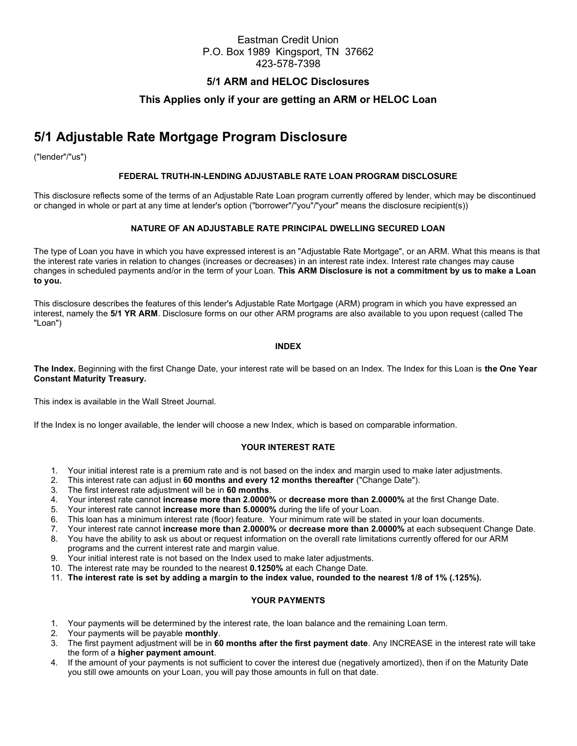# Eastman Credit Union P.O. Box 1989 Kingsport, TN 37662 423-578-7398

## 5/1 ARM and HELOC Disclosures

# This Applies only if your are getting an ARM or HELOC Loan

# 5/1 Adjustable Rate Mortgage Program Disclosure

("lender"/"us")

### FEDERAL TRUTH-IN-LENDING ADJUSTABLE RATE LOAN PROGRAM DISCLOSURE

This disclosure reflects some of the terms of an Adjustable Rate Loan program currently offered by lender, which may be discontinued or changed in whole or part at any time at lender's option ("borrower"/"you"/"your" means the disclosure recipient(s))

## NATURE OF AN ADJUSTABLE RATE PRINCIPAL DWELLING SECURED LOAN

The type of Loan you have in which you have expressed interest is an "Adjustable Rate Mortgage", or an ARM. What this means is that the interest rate varies in relation to changes (increases or decreases) in an interest rate index. Interest rate changes may cause changes in scheduled payments and/or in the term of your Loan. This ARM Disclosure is not a commitment by us to make a Loan to you.

This disclosure describes the features of this lender's Adjustable Rate Mortgage (ARM) program in which you have expressed an interest, namely the 5/1 YR ARM. Disclosure forms on our other ARM programs are also available to you upon request (called The "Loan")

#### INDEX

The Index. Beginning with the first Change Date, your interest rate will be based on an Index. The Index for this Loan is the One Year Constant Maturity Treasury.

This index is available in the Wall Street Journal.

If the Index is no longer available, the lender will choose a new Index, which is based on comparable information.

#### YOUR INTEREST RATE

- 1. Your initial interest rate is a premium rate and is not based on the index and margin used to make later adjustments.
- 2. This interest rate can adjust in 60 months and every 12 months thereafter ("Change Date").
- 3. The first interest rate adjustment will be in 60 months.
- 4. Your interest rate cannot increase more than 2.0000% or decrease more than 2.0000% at the first Change Date.
- 5. Your interest rate cannot increase more than 5.0000% during the life of your Loan.
- 6. This loan has a minimum interest rate (floor) feature. Your minimum rate will be stated in your loan documents.
- 7. Your interest rate cannot increase more than 2.0000% or decrease more than 2.0000% at each subsequent Change Date.
- 8. You have the ability to ask us about or request information on the overall rate limitations currently offered for our ARM
- programs and the current interest rate and margin value.
- 9. Your initial interest rate is not based on the Index used to make later adjustments.
- 10. The interest rate may be rounded to the nearest 0.1250% at each Change Date.
- 11. The interest rate is set by adding a margin to the index value, rounded to the nearest 1/8 of 1% (.125%).

### YOUR PAYMENTS

- 1. Your payments will be determined by the interest rate, the loan balance and the remaining Loan term.
- 2. Your payments will be payable monthly.
- 3. The first payment adjustment will be in 60 months after the first payment date. Any INCREASE in the interest rate will take the form of a higher payment amount.
- 4. If the amount of your payments is not sufficient to cover the interest due (negatively amortized), then if on the Maturity Date you still owe amounts on your Loan, you will pay those amounts in full on that date.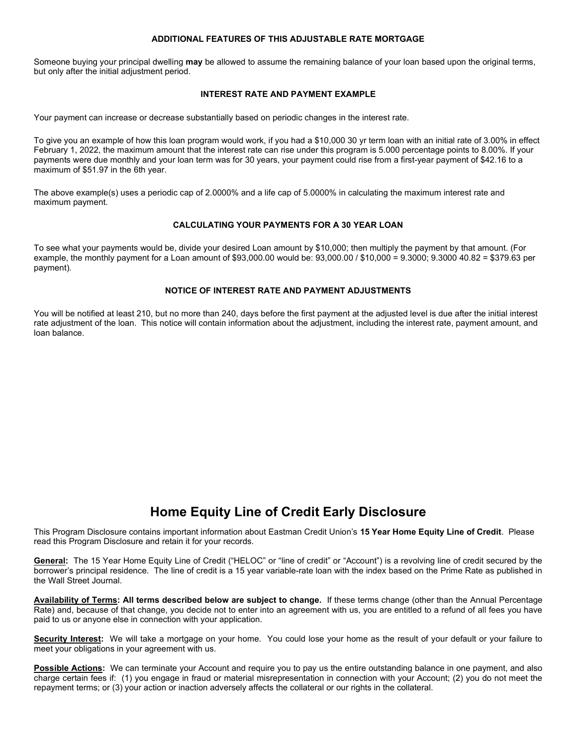## ADDITIONAL FEATURES OF THIS ADJUSTABLE RATE MORTGAGE

Someone buying your principal dwelling may be allowed to assume the remaining balance of your loan based upon the original terms, but only after the initial adjustment period.

#### INTEREST RATE AND PAYMENT EXAMPLE

Your payment can increase or decrease substantially based on periodic changes in the interest rate.

To give you an example of how this loan program would work, if you had a \$10,000 30 yr term loan with an initial rate of 3.00% in effect February 1, 2022, the maximum amount that the interest rate can rise under this program is 5.000 percentage points to 8.00%. If your payments were due monthly and your loan term was for 30 years, your payment could rise from a first-year payment of \$42.16 to a maximum of \$51.97 in the 6th year.

The above example(s) uses a periodic cap of 2.0000% and a life cap of 5.0000% in calculating the maximum interest rate and maximum payment.

#### CALCULATING YOUR PAYMENTS FOR A 30 YEAR LOAN

To see what your payments would be, divide your desired Loan amount by \$10,000; then multiply the payment by that amount. (For example, the monthly payment for a Loan amount of \$93,000.00 would be: 93,000.00 / \$10,000 = 9.3000; 9.3000 40.82 = \$379.63 per payment).

### NOTICE OF INTEREST RATE AND PAYMENT ADJUSTMENTS

You will be notified at least 210, but no more than 240, days before the first payment at the adjusted level is due after the initial interest rate adjustment of the loan. This notice will contain information about the adjustment, including the interest rate, payment amount, and loan balance.

# Home Equity Line of Credit Early Disclosure

This Program Disclosure contains important information about Eastman Credit Union's 15 Year Home Equity Line of Credit. Please read this Program Disclosure and retain it for your records.

General: The 15 Year Home Equity Line of Credit ("HELOC" or "line of credit" or "Account") is a revolving line of credit secured by the borrower's principal residence. The line of credit is a 15 year variable-rate loan with the index based on the Prime Rate as published in the Wall Street Journal.

Availability of Terms: All terms described below are subject to change. If these terms change (other than the Annual Percentage Rate) and, because of that change, you decide not to enter into an agreement with us, you are entitled to a refund of all fees you have paid to us or anyone else in connection with your application.

Security Interest: We will take a mortgage on your home. You could lose your home as the result of your default or your failure to meet your obligations in your agreement with us.

Possible Actions: We can terminate your Account and require you to pay us the entire outstanding balance in one payment, and also charge certain fees if: (1) you engage in fraud or material misrepresentation in connection with your Account; (2) you do not meet the repayment terms; or (3) your action or inaction adversely affects the collateral or our rights in the collateral.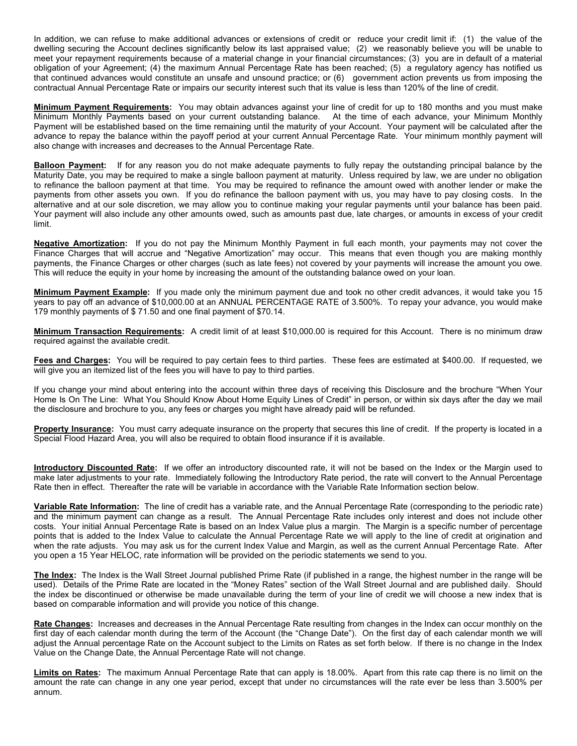In addition, we can refuse to make additional advances or extensions of credit or reduce your credit limit if: (1) the value of the dwelling securing the Account declines significantly below its last appraised value; (2) we reasonably believe you will be unable to meet your repayment requirements because of a material change in your financial circumstances; (3) you are in default of a material obligation of your Agreement; (4) the maximum Annual Percentage Rate has been reached; (5) a regulatory agency has notified us that continued advances would constitute an unsafe and unsound practice; or (6) government action prevents us from imposing the contractual Annual Percentage Rate or impairs our security interest such that its value is less than 120% of the line of credit.

Minimum Payment Requirements: You may obtain advances against your line of credit for up to 180 months and you must make Minimum Monthly Payments based on your current outstanding balance. At the time of each advance, your Minimum Monthly Payment will be established based on the time remaining until the maturity of your Account. Your payment will be calculated after the advance to repay the balance within the payoff period at your current Annual Percentage Rate. Your minimum monthly payment will also change with increases and decreases to the Annual Percentage Rate.

Balloon Payment: If for any reason you do not make adequate payments to fully repay the outstanding principal balance by the Maturity Date, you may be required to make a single balloon payment at maturity. Unless required by law, we are under no obligation to refinance the balloon payment at that time. You may be required to refinance the amount owed with another lender or make the payments from other assets you own. If you do refinance the balloon payment with us, you may have to pay closing costs. In the alternative and at our sole discretion, we may allow you to continue making your regular payments until your balance has been paid. Your payment will also include any other amounts owed, such as amounts past due, late charges, or amounts in excess of your credit limit.

Negative Amortization: If you do not pay the Minimum Monthly Payment in full each month, your payments may not cover the Finance Charges that will accrue and "Negative Amortization" may occur. This means that even though you are making monthly payments, the Finance Charges or other charges (such as late fees) not covered by your payments will increase the amount you owe. This will reduce the equity in your home by increasing the amount of the outstanding balance owed on your loan.

Minimum Payment Example: If you made only the minimum payment due and took no other credit advances, it would take you 15 years to pay off an advance of \$10,000.00 at an ANNUAL PERCENTAGE RATE of 3.500%. To repay your advance, you would make 179 monthly payments of \$ 71.50 and one final payment of \$70.14.

Minimum Transaction Requirements: A credit limit of at least \$10,000.00 is required for this Account. There is no minimum draw required against the available credit.

Fees and Charges: You will be required to pay certain fees to third parties. These fees are estimated at \$400.00. If requested, we will give you an itemized list of the fees you will have to pay to third parties.

If you change your mind about entering into the account within three days of receiving this Disclosure and the brochure "When Your Home Is On The Line: What You Should Know About Home Equity Lines of Credit" in person, or within six days after the day we mail the disclosure and brochure to you, any fees or charges you might have already paid will be refunded.

Property Insurance: You must carry adequate insurance on the property that secures this line of credit. If the property is located in a Special Flood Hazard Area, you will also be required to obtain flood insurance if it is available.

Introductory Discounted Rate: If we offer an introductory discounted rate, it will not be based on the Index or the Margin used to make later adjustments to your rate. Immediately following the Introductory Rate period, the rate will convert to the Annual Percentage Rate then in effect. Thereafter the rate will be variable in accordance with the Variable Rate Information section below.

Variable Rate Information: The line of credit has a variable rate, and the Annual Percentage Rate (corresponding to the periodic rate) and the minimum payment can change as a result. The Annual Percentage Rate includes only interest and does not include other costs. Your initial Annual Percentage Rate is based on an Index Value plus a margin. The Margin is a specific number of percentage points that is added to the Index Value to calculate the Annual Percentage Rate we will apply to the line of credit at origination and when the rate adjusts. You may ask us for the current Index Value and Margin, as well as the current Annual Percentage Rate. After you open a 15 Year HELOC, rate information will be provided on the periodic statements we send to you.

The Index: The Index is the Wall Street Journal published Prime Rate (if published in a range, the highest number in the range will be used). Details of the Prime Rate are located in the "Money Rates" section of the Wall Street Journal and are published daily. Should the index be discontinued or otherwise be made unavailable during the term of your line of credit we will choose a new index that is based on comparable information and will provide you notice of this change.

Rate Changes: Increases and decreases in the Annual Percentage Rate resulting from changes in the Index can occur monthly on the first day of each calendar month during the term of the Account (the "Change Date"). On the first day of each calendar month we will adjust the Annual percentage Rate on the Account subject to the Limits on Rates as set forth below. If there is no change in the Index Value on the Change Date, the Annual Percentage Rate will not change.

Limits on Rates: The maximum Annual Percentage Rate that can apply is 18.00%. Apart from this rate cap there is no limit on the amount the rate can change in any one year period, except that under no circumstances will the rate ever be less than 3.500% per annum.